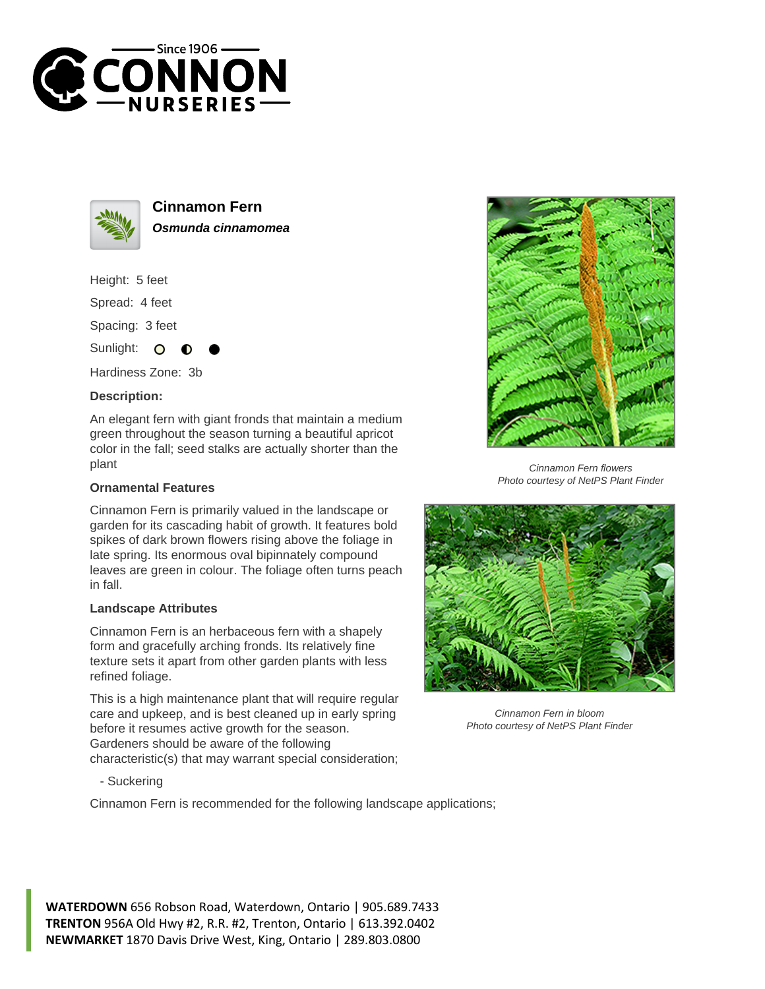



**Cinnamon Fern Osmunda cinnamomea**

Height: 5 feet

Spread: 4 feet

Spacing: 3 feet

Sunlight: O

Hardiness Zone: 3b

## **Description:**

An elegant fern with giant fronds that maintain a medium green throughout the season turning a beautiful apricot color in the fall; seed stalks are actually shorter than the plant

## **Ornamental Features**

Cinnamon Fern is primarily valued in the landscape or garden for its cascading habit of growth. It features bold spikes of dark brown flowers rising above the foliage in late spring. Its enormous oval bipinnately compound leaves are green in colour. The foliage often turns peach in fall.

## **Landscape Attributes**

Cinnamon Fern is an herbaceous fern with a shapely form and gracefully arching fronds. Its relatively fine texture sets it apart from other garden plants with less refined foliage.

This is a high maintenance plant that will require regular care and upkeep, and is best cleaned up in early spring before it resumes active growth for the season. Gardeners should be aware of the following characteristic(s) that may warrant special consideration;

- Suckering

Cinnamon Fern is recommended for the following landscape applications;



Cinnamon Fern flowers Photo courtesy of NetPS Plant Finder



Cinnamon Fern in bloom Photo courtesy of NetPS Plant Finder

**WATERDOWN** 656 Robson Road, Waterdown, Ontario | 905.689.7433 **TRENTON** 956A Old Hwy #2, R.R. #2, Trenton, Ontario | 613.392.0402 **NEWMARKET** 1870 Davis Drive West, King, Ontario | 289.803.0800